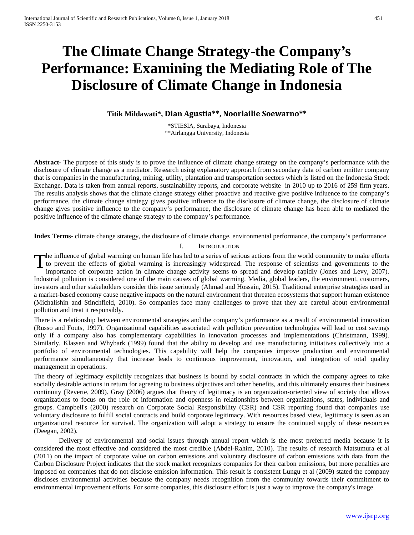# **The Climate Change Strategy-the Company's Performance: Examining the Mediating Role of The Disclosure of Climate Change in Indonesia**

**Titik Mildawati\*, Dian Agustia\*\*, Noorlailie Soewarno\*\***

\*STIESIA, Surabaya, Indonesia \*\*Airlangga University, Indonesia

**Abstract-** The purpose of this study is to prove the influence of climate change strategy on the company's performance with the disclosure of climate change as a mediator. Research using explanatory approach from secondary data of carbon emitter company that is companies in the manufacturing, mining, utility, plantation and transportation sectors which is listed on the Indonesia Stock Exchange. Data is taken from annual reports, sustainability reports, and corporate website in 2010 up to 2016 of 259 firm years. The results analysis shows that the climate change strategy either proactive and reactive give positive influence to the company's performance, the climate change strategy gives positive influence to the disclosure of climate change, the disclosure of climate change gives positive influence to the company's performance, the disclosure of climate change has been able to mediated the positive influence of the climate change strategy to the company's performance.

**Index Terms**- climate change strategy, the disclosure of climate change, environmental performance, the company's performance

#### I. INTRODUCTION

The influence of global warming on human life has led to a series of serious actions from the world community to make efforts The influence of global warming on human life has led to a series of serious actions from the world community to make efforts<br>to prevent the effects of global warming is increasingly widespread. The response of scientists

importance of corporate action in climate change activity seems to spread and develop rapidly (Jones and Levy, 2007). Industrial pollution is considered one of the main causes of global warming. Media, global leaders, the environment, customers, investors and other stakeholders consider this issue seriously (Ahmad and Hossain, 2015). Traditional enterprise strategies used in a market-based economy cause negative impacts on the natural environment that threaten ecosystems that support human existence (Michalishin and Stinchfield, 2010). So companies face many challenges to prove that they are careful about environmental pollution and treat it responsibly.

There is a relationship between environmental strategies and the company's performance as a result of environmental innovation (Russo and Fouts, 1997). Organizational capabilities associated with pollution prevention technologies will lead to cost savings only if a company also has complementary capabilities in innovation processes and implementations (Christmann, 1999). Similarly, Klassen and Whybark (1999) found that the ability to develop and use manufacturing initiatives collectively into a portfolio of environmental technologies. This capability will help the companies improve production and environmental performance simultaneously that increase leads to continuous improvement, innovation, and integration of total quality management in operations.

The theory of legitimacy explicitly recognizes that business is bound by social contracts in which the company agrees to take socially desirable actions in return for agreeing to business objectives and other benefits, and this ultimately ensures their business continuity (Reverte, 2009). Gray (2006) argues that theory of legitimacy is an organization-oriented view of society that allows organizations to focus on the role of information and openness in relationships between organizations, states, individuals and groups. Campbell's (2000) research on Corporate Social Responsibility (CSR) and CSR reporting found that companies use voluntary disclosure to fulfill social contracts and build corporate legitimacy. With resources based view, legitimacy is seen as an organizational resource for survival. The organization will adopt a strategy to ensure the continued supply of these resources (Deegan, 2002).

 Delivery of environmental and social issues through annual report which is the most preferred media because it is considered the most effective and considered the most credible (Abdel-Rahim, 2010). The results of research Matsumura et al (2011) on the impact of corporate value on carbon emissions and voluntary disclosure of carbon emissions with data from the Carbon Disclosure Project indicates that the stock market recognizes companies for their carbon emissions, but more penalties are imposed on companies that do not disclose emission information. This result is consistent Lungu et al (2009) stated the company discloses environmental activities because the company needs recognition from the community towards their commitment to environmental improvement efforts. For some companies, this disclosure effort is just a way to improve the company's image.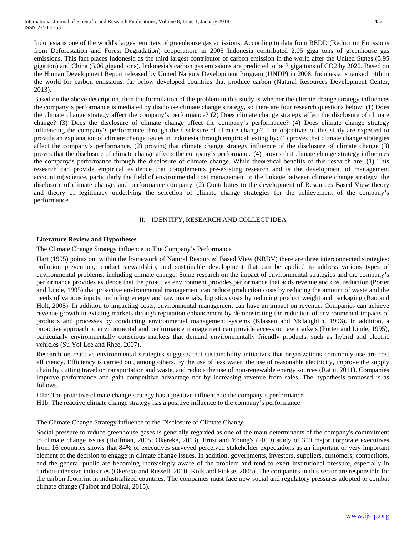Indonesia is one of the world's largest emitters of greenhouse gas emissions. According to data from REDD (Reduction Emissions from Deforestation and Forest Degradation) cooperation, in 2005 Indonesia contributed 2.05 giga tons of greenhouse gas emissions. This fact places Indonesia as the third largest contributor of carbon emission in the world after the United States (5.95 giga ton) and China (5.06 gigand tons). Indonesia's carbon gas emissions are predicted to be 3 giga tons of CO2 by 2020. Based on the Human Development Report released by United Nations Development Program (UNDP) in 2008, Indonesia is ranked 14th in the world for carbon emissions, far below developed countries that produce carbon (Natural Resources Development Center, 2013).

Based on the above description, then the formulation of the problem in this study is whether the climate change strategy influences the company's performance is mediated by disclouse climate change strategy, so there are four research questions below: (1) Does the climate change strategy affect the company's performance? (2) Does climate change strategy affect the disclosure of climate change? (3) Does the disclosure of climate change affect the company's performance? (4) Does climate change strategy influencing the company's performance through the disclosure of climate change?. The objectives of this study are expected to provide an explanation of climate change issues in Indonesia through empirical testing by: (1) proves that climate change strategies affect the company's performance. (2) proving that climate change strategy influence of the disclosure of climate change (3) proves that the disclosure of climate change affects the company's performance (4) proves that climate change strategy influences the company's performance through the disclosure of climate change. While theoretical benefits of this research are: (1) This research can provide empirical evidence that complements pre-existing research and is the development of management accounting science, particularly the field of environmental cost management to the linkage between climate change strategy, the disclosure of climate change, and performance company. (2) Contributes to the development of Resources Based View theory and theory of legitimacy underlying the selection of climate change strategies for the achievement of the company's performance.

#### II. IDENTIFY, RESEARCH AND COLLECT IDEA

## **Literature Review and Hypotheses**

The Climate Change Strategy influence to The Company's Performance

Hart (1995) points out within the framework of Natural Resourced Based View (NRBV) there are three interconnected strategies: pollution prevention, product stewardship, and sustainable development that can be applied to address various types of environmental problems, including climate change. Some research on the impact of environmental strategies and the company's performance provides evidence that the proactive environment provides performance that adds revenue and cost reduction (Porter and Linde, 1995) that proactive environmental management can reduce production costs by reducing the amount of waste and the needs of various inputs, including energy and raw materials, logistics costs by reducing product weight and packaging (Rao and Holt, 2005). In addition to impacting costs, environmental management can have an impact on revenue. Companies can achieve revenue growth in existing markets through reputation enhancement by demonstrating the reduction of environmental impacts of products and processes by conducting environmental management systems (Klassen and Mclaughlin, 1996). In addition, a proactive approach to environmental and performance management can provide access to new markets (Porter and Linde, 1995), particularly environmentally conscious markets that demand environmentally friendly products, such as hybrid and electric vehicles (Su Yol Lee and Rhee, 2007).

Research on reactive environmental strategies suggests that sustainability initiatives that organizations commonly use are cost efficiency. Efficiency is carried out, among others, by the use of less water, the use of reasonable electricity, improve the supply chain by cutting travel or transportation and waste, and reduce the use of non-renewable energy sources (Ratiu, 2011). Companies improve performance and gain competitive advantage not by increasing revenue from sales. The hypothesis proposed is as follows.

H1a: The proactive climate change strategy has a positive influence to the company's performance

H1b: The reactive climate change strategy has a positive influence to the company's performance

The Climate Change Strategy influence to the Disclosure of Climate Change

Social pressure to reduce greenhouse gases is generally regarded as one of the main determinants of the company's commitment to climate change issues (Hoffman, 2005; Okereke, 2013). Ernst and Young's (2010) study of 300 major corporate executives from 16 countries shows that 84% of executives surveyed perceived stakeholder expectations as an important or very important element of the decision to engage in climate change issues. In addition, governments, investors, suppliers, customers, competitors, and the general public are becoming increasingly aware of the problem and tend to exert institutional pressure, especially in carbon-intensive industries (Okereke and Russell, 2010; Kolk and Pinkse, 2005). The companies in this sector are responsible for the carbon footprint in industrialized countries. The companies must face new social and regulatory pressures adopted to combat climate change (Talbot and Boiral, 2015).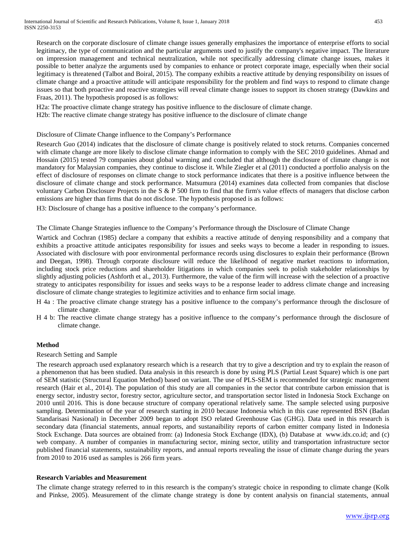Research on the corporate disclosure of climate change issues generally emphasizes the importance of enterprise efforts to social legitimacy, the type of communication and the particular arguments used to justify the company's negative impact. The literature on impression management and technical neutralization, while not specifically addressing climate change issues, makes it possible to better analyze the arguments used by companies to enhance or protect corporate image, especially when their social legitimacy is threatened (Talbot and Boiral, 2015). The company exhibits a reactive attitude by denying responsibility on issues of climate change and a proactive attitude will anticipate responsibility for the problem and find ways to respond to climate change issues so that both proactive and reactive strategies will reveal climate change issues to support its chosen strategy (Dawkins and Fraas, 2011). The hypothesis proposed is as follows:

H2a: The proactive climate change strategy has positive influence to the disclosure of climate change.

H2b: The reactive climate change strategy has positive influence to the disclosure of climate change

# Disclosure of Climate Change influence to the Company's Performance

Research Guo (2014) indicates that the disclosure of climate change is positively related to stock returns. Companies concerned with climate change are more likely to disclose climate change information to comply with the SEC 2010 guidelines. Ahmad and Hossain (2015) tested 79 companies about global warming and concluded that although the disclosure of climate change is not mandatory for Malaysian companies, they continue to disclose it. While Ziegler et al (2011) conducted a portfolio analysis on the effect of disclosure of responses on climate change to stock performance indicates that there is a positive influence between the disclosure of climate change and stock performance. Matsumura (2014) examines data collected from companies that disclose voluntary Carbon Disclosure Projects in the S & P 500 firm to find that the firm's value effects of managers that disclose carbon emissions are higher than firms that do not disclose. The hypothesis proposed is as follows:

H3: Disclosure of change has a positive influence to the company's performance.

The Climate Change Strategies influence to the Company's Performance through the Disclosure of Climate Change

Wartick and Cochran (1985) declare a company that exhibits a reactive attitude of denying responsibility and a company that exhibits a proactive attitude anticipates responsibility for issues and seeks ways to become a leader in responding to issues. Associated with disclosure with poor environmental performance records using disclosures to explain their performance (Brown and Deegan, 1998). Through corporate disclosure will reduce the likelihood of negative market reactions to information, including stock price reductions and shareholder litigations in which companies seek to polish stakeholder relationships by slightly adjusting policies (Ashforth et al., 2013). Furthermore, the value of the firm will increase with the selection of a proactive strategy to anticipates responsibility for issues and seeks ways to be a response leader to address climate change and increasing disclosure of climate change strategies to legitimize activities and to enhance firm social image.

- H 4a : The proactive climate change strategy has a positive influence to the company's performance through the disclosure of climate change.
- H 4 b: The reactive climate change strategy has a positive influence to the company's performance through the disclosure of climate change.

# **Method**

#### Research Setting and Sample

The research approach used explanatory research which is a research that try to give a description and try to explain the reason of a phenomenon that has been studied. Data analysis in this research is done by using PLS (Partial Least Square) which is one part of SEM statistic (Structural Equation Method) based on variant. The use of PLS-SEM is recommended for strategic management research (Hair et al., 2014). The population of this study are all companies in the sector that contribute carbon emission that is energy sector, industry sector, forestry sector, agriculture sector, and transportation sector listed in Indonesia Stock Exchange on 2010 until 2016. This is done because structure of company operational relatively same. The sample selected using purposive sampling. Determination of the year of research starting in 2010 because Indonesia which in this case represented BSN (Badan Standarisasi Nasional) in December 2009 began to adopt ISO related Greenhouse Gas (GHG). Data used in this research is secondary data (financial statements, annual reports, and sustanaibility reports of carbon emitter company listed in Indonesia Stock Exchange. Data sources are obtained from: (a) Indonesia Stock Exchange (IDX), (b) Database at www.idx.co.id; and (c) web company. A number of companies in manufacturing sector, mining sector, utility and transportation infrastructure sector published financial statements, sustainability reports, and annual reports revealing the issue of climate change during the years from 2010 to 2016 used as samples is 266 firm years.

# **Research Variables and Measurement**

The climate change strategy referred to in this research is the company's strategic choice in responding to climate change (Kolk and Pinkse, 2005). Measurement of the climate change strategy is done by content analysis on financial statements, annual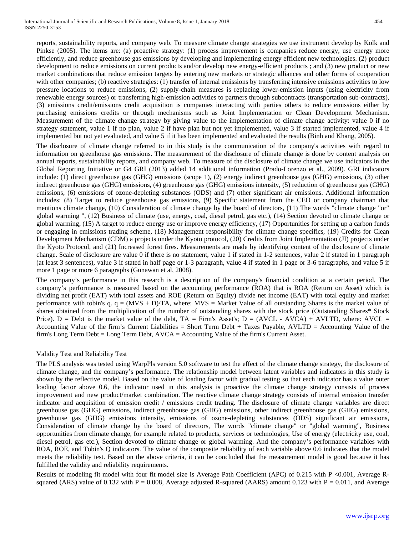reports, sustainability reports, and company web. To measure climate change strategies we use instrument develop by Kolk and Pinkse (2005). The items are: (a) proactive strategy: (1) process improvement is companies reduce energy, use energy more efficiently, and reduce greenhouse gas emissions by developing and implementing energy efficient new technologies. (2) product development to reduce emissions on current products and/or develop new energy-efficient products ; and (3) new product or new market combinations that reduce emission targets by entering new markets or strategic alliances and other forms of cooperation with other companies; (b) reactive strategies: (1) transfer of internal emissions by transferring intensive emissions activities to low pressure locations to reduce emissions, (2) supply-chain measures is replacing lower-emission inputs (using electricity from renewable energy sources) or transferring high-emission activities to partners through subcontracts (transportation sub-contracts), (3) emissions credit/emissions credit acquisition is companies interacting with parties others to reduce emissions either by purchasing emissions credits or through mechanisms such as Joint Implementation or Clean Development Mechanism. Measurement of the climate change strategy by giving value to the implementation of climate change activity: value 0 if no strategy statement, value 1 if no plan, value 2 if have plan but not yet implemented, value 3 if started implemented, value 4 if implemented but not yet evaluated, and value 5 if it has been implemented and evaluated the results (Binh and Khang, 2005).

The disclosure of climate change referred to in this study is the communication of the company's activities with regard to information on greenhouse gas emissions. The measurement of the disclosure of climate change is done by content analysis on annual reports, sustainability reports, and company web. To measure of the disclosure of climate change we use indicators in the Global Reporting Initiative or G4 GRI (2013) added 14 additional information (Prado-Lorenzo et al., 2009). GRI indicators include: (1) direct greenhouse gas (GHG) emissions (scope 1), (2) energy indirect greenhouse gas (GHG) emissions, (3) other indirect greenhouse gas (GHG) emissions, (4) greenhouse gas (GHG) emissions intensity, (5) reduction of greenhouse gas (GHG) emissions, (6) emissions of ozone-depleting substances (ODS) and (7) other significant air emissions. Additional information includes: (8) Target to reduce greenhouse gas emissions, (9) Specific statement from the CEO or company chairman that mentions climate change, (10) Consideration of climate change by the board of directors, (11) The words "climate change "or" global warming ", (12) Business of climate (use, energy, coal, diesel petrol, gas etc.), (14) Section devoted to climate change or global warming, (15) A target to reduce energy use or improve energy efficiency, (17) Opportunities for setting up a carbon funds or engaging in emissions trading scheme, (18) Management responsibility for climate change specifics, (19) Credits for Clean Development Mechanism (CDM) a projects under the Kyoto protocol, (20) Credits from Joint Implementation (JI) projects under the Kyoto Protocol, and (21) Increased forest fires. Measurements are made by identifying content of the disclosure of climate change. Scale of disclosure are value 0 if there is no statement, value 1 if stated in 1-2 sentences, value 2 if stated in 1 paragraph (at least 3 sentences), value 3 if stated in half page or 1-3 paragraph, value 4 if stated in 1 page or 3-6 paragraphs, and value 5 if more 1 page or more 6 paragraphs (Gunawan et al, 2008).

The company's performance in this research is a description of the company's financial condition at a certain period. The company's performance is measured based on the accounting performance (ROA) that is ROA (Return on Asset) which is dividing net profit (EAT) with total assets and ROE (Return on Equity) divide net income (EAT) with total equity and market performance with tobin's q.  $q = (MVS + D)/TA$ , where:  $MVS =$  Market Value of all outstanding Shares is the market value of shares obtained from the multiplication of the number of outstanding shares with the stock price (Outstanding Shares\* Stock Price).  $D =$  Debt is the market value of the debt,  $TA =$  Firm's Asset's;  $D = (AVCL - AVCA) + AVLTD$ , where:  $AVCL =$ Accounting Value of the firm's Current Liabilities = Short Term Debt + Taxes Payable, AVLTD = Accounting Value of the firm's Long Term Debt = Long Term Debt, AVCA = Accounting Value of the firm's Current Asset.

#### Validity Test and Reliability Test

The PLS analysis was tested using WarpPls version 5.0 software to test the effect of the climate change strategy, the disclosure of climate change, and the company's performance. The relationship model between latent variables and indicators in this study is shown by the reflective model. Based on the value of loading factor with gradual testing so that each indicator has a value outer loading factor above 0.6, the indicator used in this analysis is proactive the climate change strategy consists of process improvement and new product/market combination. The reactive climate change strategy consists of internal emission transfer indicator and acquisition of emission credit / emissions credit trading. The disclosure of climate change variables are direct greenhouse gas (GHG) emissions, indirect greenhouse gas (GHG) emissions, other indirect greenhouse gas (GHG) emissions, greenhouse gas (GHG) emissions intensity, emissions of ozone-depleting substances (ODS) significant air emissions, Consideration of climate change by the board of directors, The words "climate change" or "global warming", Business opportunities from climate change, for example related to products, services or technologies, Use of energy (electricity use, coal, diesel petrol, gas etc.), Section devoted to climate change or global warming. And the company's performance variables with ROA, ROE, and Tobin's Q indicators. The value of the composite reliability of each variable above 0.6 indicates that the model meets the reliability test. Based on the above criteria, it can be concluded that the measurement model is good because it has fulfilled the validity and reliability requirements.

Results of modeling fit model with four fit model size is Average Path Coefficient (APC) of 0.215 with P <0.001, Average Rsquared (ARS) value of 0.132 with  $P = 0.008$ , Average adjusted R-squared (AARS) amount 0.123 with  $P = 0.011$ , and Average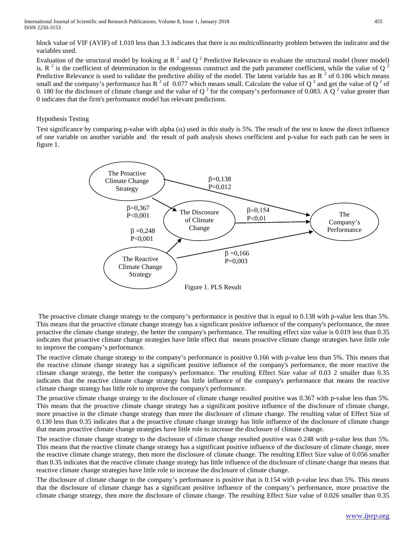block value of VIF (AVIF) of 1.010 less than 3.3 indicates that there is no multicollinearity problem between the indicator and the variables used.

Evaluation of the structural model by looking at  $R^2$  and  $Q^2$  Predictive Relevance to evaluate the structural model (Inner model) is. R  $^2$  is the coefficient of determination in the endogenous construct and the path parameter coefficient, while the value of Q  $^2$ Predictive Relevance is used to validate the predictive ability of the model. The latent variable has an  $R<sup>2</sup>$  of 0.186 which means small and the company's performance has  $R^2$  of 0.077 which means small. Calculate the value of Q<sup>2</sup> and get the value of Q<sup>2</sup> of 0. 180 for the disclosure of climate change and the value of  $Q^2$  for the company's performance of 0.083. A  $Q^2$  value greater than 0 indicates that the firm's performance model has relevant predictions.

## Hypothesis Testing

Test significance by comparing p-value with alpha  $(\alpha)$  used in this study is 5%. The result of the test to know the direct influence of one variable on another variable and the result of path analysis shows coefficient and p-value for each path can be seen in figure 1.



The proactive climate change strategy to the company's performance is positive that is equal to 0.138 with p-value less than 5%. This means that the proactive climate change strategy has a significant positive influence of the company's performance, the more proactive the climate change strategy, the better the company's performance. The resulting effect size value is 0.019 less than 0.35 indicates that proactive climate change strategies have little effect that means proactive climate change strategies have little role to improve the company's performance.

The reactive climate change strategy to the company's performance is positive 0.166 with p-value less than 5%. This means that the reactive climate change strategy has a significant positive influence of the company's performance, the more reactive the climate change strategy, the better the company's performance. The resulting Effect Size value of 0.03 2 smaller than 0.35 indicates that the reactive climate change strategy has little influence of the company's performance that means the reactive climate change strategy has little role to improve the company's performance.

The proactive climate change strategy to the disclosure of climate change resulted positive was 0.367 with p-value less than 5%. This means that the proactive climate change strategy has a significant positive influence of the disclosure of climate change, more proactive in the climate change strategy than more the disclosure of climate change. The resulting value of Effect Size of 0.130 less than 0.35 indicates that a the proactive climate change strategy has little influence of the disclosure of climate change that means proactive climate change strategies have little role to increase the disclosure of climate change.

The reactive climate change strategy to the disclosure of climate change resulted positive was 0.248 with p-value less than 5%. This means that the reactive climate change strategy has a significant positive influence of the disclosure of climate change, more the reactive climate change strategy, then more the disclosure of climate change. The resulting Effect Size value of 0.056 smaller than 0.35 indicates that the reactive climate change strategy has little influence of the disclosure of climate change that means that reactive climate change strategies have little role to increase the disclosure of climate change.

The disclosure of climate change to the company's performance is positive that is 0.154 with p-value less than 5%. This means that the disclosure of climate change has a significant positive influence of the company's performance, more proactive the climate change strategy, then more the disclosure of climate change. The resulting Effect Size value of 0.026 smaller than 0.35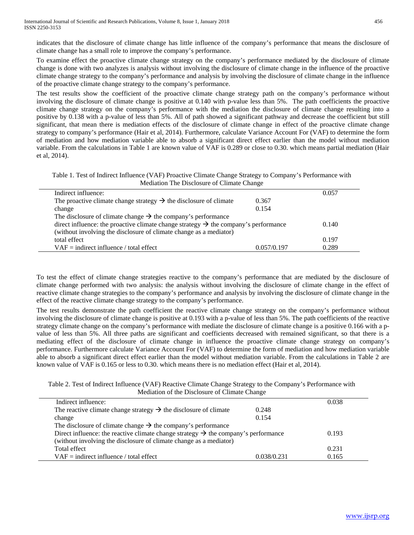indicates that the disclosure of climate change has little influence of the company's performance that means the disclosure of climate change has a small role to improve the company's performance.

To examine effect the proactive climate change strategy on the company's performance mediated by the disclosure of climate change is done with two analyzes is analysis without involving the disclosure of climate change in the influence of the proactive climate change strategy to the company's performance and analysis by involving the disclosure of climate change in the influence of the proactive climate change strategy to the company's performance.

The test results show the coefficient of the proactive climate change strategy path on the company's performance without involving the disclosure of climate change is positive at 0.140 with p-value less than 5%. The path coefficients the proactive climate change strategy on the company's performance with the mediation the disclosure of climate change resulting into a positive by 0.138 with a p-value of less than 5%. All of path showed a significant pathway and decrease the coefficient but still significant, that mean there is mediation effects of the disclosure of climate change in effect of the proactive climate change strategy to company's performance (Hair et al, 2014). Furthermore, calculate Variance Account For (VAF) to determine the form of mediation and how mediation variable able to absorb a significant direct effect earlier than the model without mediation variable. From the calculations in Table 1 are known value of VAF is 0.289 or close to 0.30. which means partial mediation (Hair et al, 2014).

Table 1. Test of Indirect Influence (VAF) Proactive Climate Change Strategy to Company's Performance with Mediation The Disclosure of Climate Change

| Indirect influence:                                                                             |             | 0.057 |
|-------------------------------------------------------------------------------------------------|-------------|-------|
| The proactive climate change strategy $\rightarrow$ the disclosure of climate                   | 0.367       |       |
| change                                                                                          | 0.154       |       |
| The disclosure of climate change $\rightarrow$ the company's performance                        |             |       |
| direct influence: the proactive climate change strategy $\rightarrow$ the company's performance |             | 0.140 |
| (without involving the disclosure of climate change as a mediator)                              |             |       |
| total effect                                                                                    |             | 0.197 |
| $VAF = indirect influence / total effect$                                                       | 0.057/0.197 | 0.289 |
|                                                                                                 |             |       |

To test the effect of climate change strategies reactive to the company's performance that are mediated by the disclosure of climate change performed with two analysis: the analysis without involving the disclosure of climate change in the effect of reactive climate change strategies to the company's performance and analysis by involving the disclosure of climate change in the effect of the reactive climate change strategy to the company's performance.

The test results demonstrate the path coefficient the reactive climate change strategy on the company's performance without involving the disclosure of climate change is positive at 0.193 with a p-value of less than 5%. The path coefficients of the reactive strategy climate change on the company's performance with mediate the disclosure of climate change is a positive 0.166 with a pvalue of less than 5%. All three paths are significant and coefficients decreased with remained significant, so that there is a mediating effect of the disclosure of climate change in influence the proactive climate change strategy on company's performance. Furthermore calculate Variance Account For (VAF) to determine the form of mediation and how mediation variable able to absorb a significant direct effect earlier than the model without mediation variable. From the calculations in Table 2 are known value of VAF is 0.165 or less to 0.30. which means there is no mediation effect (Hair et al, 2014).

| Table 2. Test of Indirect Influence (VAF) Reactive Climate Change Strategy to the Company's Performance with |  |
|--------------------------------------------------------------------------------------------------------------|--|
| Mediation of the Disclosure of Climate Change                                                                |  |

| Indirect influence:                                                                            |             | 0.038 |
|------------------------------------------------------------------------------------------------|-------------|-------|
| The reactive climate change strategy $\rightarrow$ the disclosure of climate                   | 0.248       |       |
| change                                                                                         | 0.154       |       |
| The disclosure of climate change $\rightarrow$ the company's performance                       |             |       |
| Direct influence: the reactive climate change strategy $\rightarrow$ the company's performance |             | 0.193 |
| (without involving the disclosure of climate change as a mediator)                             |             |       |
| Total effect                                                                                   |             | 0.231 |
| $VAF = indirect influence / total effect$                                                      | 0.038/0.231 | 0.165 |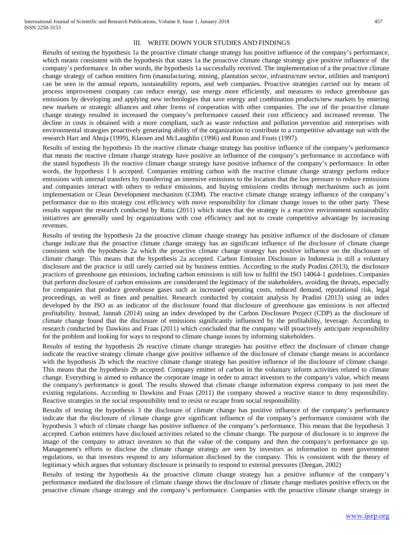#### III. WRITE DOWN YOUR STUDIES AND FINDINGS

Results of testing the hypothesis 1a the proactive climate change strategy has positive influence of the company's performance, which means consistent with the hypothesis that states 1a the proactive climate change strategy give positive influence of the company's performance. In other words, the hypothesis 1a successfully received. The implementation of a the proactive climate change strategy of carbon emitters firm (manufacturing, mining, plantation sector, infrastructure sector, utilities and transport) can be seen in the annual reports, sustainability reports, and web companies. Proactive strategies carried out by means of process improvement company can reduce energy, use energy more efficiently, and measures to reduce greenhouse gas emissions by developing and applying new technologies that save energy and combination products/new markets by entering new markets or strategic alliances and other forms of cooperation with other companies. The use of the proactive climate change strategy resulted in increased the company's performance caused their cost efficiency and increased revenue. The decline in costs is obtained with a more compliant, such as waste reduction and pollution prevention and enterprises with environmental strategies proactively generating ability of the organization to contribute to a competitive advantage suit with the research Hart and Ahuja (1999), Klassen and McLaughlin (1996) and Russo and Fouts (1997).

Results of testing the hypothesis 1b the reactive climate change strategy has positive influence of the company's performance that means the reactive climate change strategy have positive an influence of the company's performance in accordance with the stated hypothesis 1b the reactive climate change strategy have positive influence of the company's performance. In other words, the hypothesis 1 b accepted. Companies emitting carbon with the reactive climate change strategy perform reduce emissions with internal transfers by transferring an intensive emissions to the location that the low pressure to reduce emissions and companies interact with others to reduce emissions, and buying emissions credits through mechanisms such as joint implementation or Clean Development mechanism (CDM). The reactive climate change strategy influence of the company's performance due to this strategy cost efficiency with move responsibility for climate change issues to the other party. These results support the research conducted by Ratiu (2011) which states that the strategy is a reactive environment sustainability initiatives are generally used by organizations with cost efficiency and not to create competitive advantage by increasing revenues.

Results of testing the hypothesis 2a the proactive climate change strategy has positive influence of the disclosure of climate change indicate that the proactive climate change strategy has an significant influence of the disclosure of climate change consistent with the hypothesis 2a which the proactive climate change strategy has positive influence on the disclosure of climate change. This means that the hypothesis 2a accepted. Carbon Emission Disclosure in Indonesia is still a voluntary disclosure and the practice is still rarely carried out by business entities. According to the study Pradini (2013), the disclosure practices of greenhouse gas emissions, including carbon emissions is still low to fullfil the ISO 14064-1 guidelines. Companies that perform disclosure of carbon emissions are considerated the legitimacy of the stakeholders, avoiding the threats, especially for companies that produce greenhouse gases such as increased operating costs, reduced demand, reputational risk, legal proceedings, as well as fines and penalties. Research conducted by containt analysis by Pradini (2013) using an index developed by the ISO as an indicator of the disclosure found that disclosure of greenhouse gas emissions is not affected profitability. Instead, Jannah (2014) using an index developed by the Carbon Disclosure Project (CDP) as the disclosure of climate change found that the disclosure of emissions significantly influenced by the profitability, leverage. According to research conducted by Dawkins and Fraas (2011) which concluded that the company will proactively anticipate responsibility for the problem and looking for ways to respond to climate change issues by informing stakeholders.

Results of testing the hypothesis 2b reactive climate change strategies has positive effect the disclosure of climate change indicate the reactive strategy climate change give positive influence of the disclosure of climate change means in accordance with the hypothesis 2b which the reactive climate change strategy has positive influence of the disclosure of climate change. This means that the hypothesis 2b accepted. Company emitter of carbon in the voluntary inform activities related to climate change. Everything is aimed to enhance the corporate image in order to attract investors to the company's value, which means the company's performance is good. The results showed that climate change information express company to just meet the existing regulations. According to Dawkins and Fraas (2011) the company showed a reactive stance to deny responsibility. Reactive strategies in the social responsibility tend to resist or escape from social responsibility.

Results of testing the hypothesis 3 the disclosure of climate change has positive influence of the company's performance indicate that the disclosure of climate change give significant influence of the company's performance consistent with the hypothesis 3 which of climate change has positive influence of the company's performance. This means that the hypothesis 3 accepted. Carbon emitters have disclosed activities related to the climate change. The purpose of disclosure is to improve the image of the company to attract investors so that the value of the company and then the company's performance go up. Management's efforts to disclose the climate change strategy are seen by investors as information to meet government regulations, so that investors respond to any information disclosed by the company. This is consistent with the theory of legitimacy which argues that voluntary disclosure is primarily to respond to external pressures (Deegan, 2002)

Results of testing the hypothesis 4a the proactive climate change strategy has a positive influence of the company's performance mediated the disclosure of climate change shows the disclosure of climate change mediates positive effects on the proactive climate change strategy and the company's performance. Companies with the proactive climate change strategy in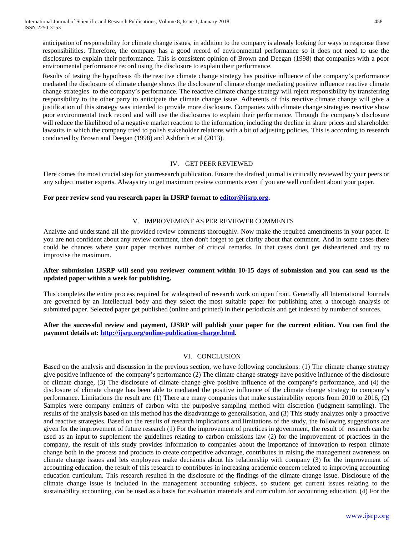anticipation of responsibility for climate change issues, in addition to the company is already looking for ways to response these responsibilities. Therefore, the company has a good record of environmental performance so it does not need to use the disclosures to explain their performance. This is consistent opinion of Brown and Deegan (1998) that companies with a poor environmental performance record using the disclosure to explain their performance.

Results of testing the hypothesis 4b the reactive climate change strategy has positive influence of the company's performance mediated the disclosure of climate change shows the disclosure of climate change mediating positive influence reactive climate change strategies to the company's performance. The reactive climate change strategy will reject responsibility by transferring responsibility to the other party to anticipate the climate change issue. Adherents of this reactive climate change will give a justification of this strategy was intended to provide more disclosure. Companies with climate change strategies reactive show poor environmental track record and will use the disclosures to explain their performance. Through the company's disclosure will reduce the likelihood of a negative market reaction to the information, including the decline in share prices and shareholder lawsuits in which the company tried to polish stakeholder relations with a bit of adjusting policies. This is according to research conducted by Brown and Deegan (1998) and Ashforth et al (2013).

#### IV. GET PEER REVIEWED

Here comes the most crucial step for yourresearch publication. Ensure the drafted journal is critically reviewed by your peers or any subject matter experts. Always try to get maximum review comments even if you are well confident about your paper.

#### **For peer review send you research paper in IJSRP format to [editor@ijsrp.org.](mailto:editor@ijsrp.org)**

#### V. IMPROVEMENT AS PER REVIEWER COMMENTS

Analyze and understand all the provided review comments thoroughly. Now make the required amendments in your paper. If you are not confident about any review comment, then don't forget to get clarity about that comment. And in some cases there could be chances where your paper receives number of critical remarks. In that cases don't get disheartened and try to improvise the maximum.

## **After submission IJSRP will send you reviewer comment within 10-15 days of submission and you can send us the updated paper within a week for publishing.**

This completes the entire process required for widespread of research work on open front. Generally all International Journals are governed by an Intellectual body and they select the most suitable paper for publishing after a thorough analysis of submitted paper. Selected paper get published (online and printed) in their periodicals and get indexed by number of sources.

## **After the successful review and payment, IJSRP will publish your paper for the current edition. You can find the payment details at[: http://ijsrp.org/online-publication-charge.html.](http://ijsrp.org/online-publication-charge.html)**

#### VI. CONCLUSION

Based on the analysis and discussion in the previous section, we have following conclusions: (1) The climate change strategy give positive influence of the company's performance (2) The climate change strategy have positive influence of the disclosure of climate change, (3) The disclosure of climate change give positive influence of the company's performance, and (4) the disclosure of climate change has been able to mediated the positive influence of the climate change strategy to company's performance. Limitations the result are: (1) There are many companies that make sustainability reports from 2010 to 2016, (2) Samples were company emitters of carbon with the purposive sampling method with discretion (judgment sampling). The results of the analysis based on this method has the disadvantage to generalisation, and (3) This study analyzes only a proactive and reactive strategies. Based on the results of research implications and limitations of the study, the following suggestions are given for the improvement of future research (1) For the improvement of practices in government, the result of research can be used as an input to supplement the guidelines relating to carbon emissions law (2) for the improvement of practices in the company, the result of this study provides information to companies about the importance of innovation to respon climate change both in the process and products to create competitive advantage, contributes in raising the management awareness on climate change issues and lets employees make decisions about his relationship with company (3) for the improvement of accounting education, the result of this research to contributes in increasing academic concern related to improving accounting education curriculum. This research resulted in the disclosure of the findings of the climate change issue. Disclosure of the climate change issue is included in the management accounting subjects, so student get current issues relating to the sustainability accounting, can be used as a basis for evaluation materials and curriculum for accounting education. (4) For the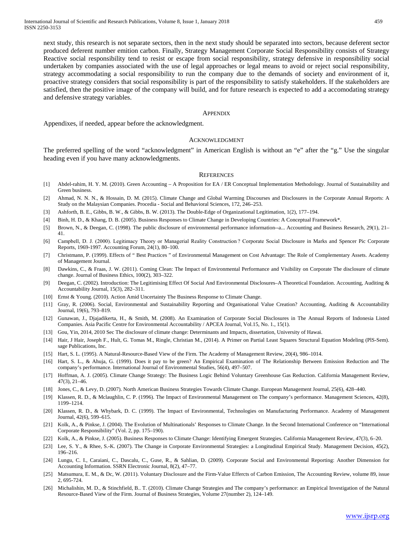next study, this research is not separate sectors, then in the next study should be separated into sectors, because deferent sector produced deferent number emition carbon. Finally, Strategy Management Corporate Social Responsibility consists of Strategy Reactive social responsibility tend to resist or escape from social responsibility, strategy defensive in responsibility social undertaken by companies associated with the use of legal approaches or legal means to avoid or reject social responsibility, strategy accommodating a social responsibility to run the company due to the demands of society and environment of it, proactive strategy considers that social responsibility is part of the responsibility to satisfy stakeholders. If the stakeholders are satisfied, then the positive image of the company will build, and for future research is expected to add a accomodating strategy and defensive strategy variables.

#### **APPENDIX**

Appendixes, if needed, appear before the acknowledgment.

#### ACKNOWLEDGMENT

The preferred spelling of the word "acknowledgment" in American English is without an "e" after the "g." Use the singular heading even if you have many acknowledgments.

#### **REFERENCES**

- [1] Abdel-rahim, H. Y. M. (2010). Green Accounting A Proposition for EA / ER Conceptual Implementation Methodology. Journal of Sustainability and Green business.
- [2] Ahmad, N. N. N., & Hossain, D. M. (2015). Climate Change and Global Warming Discourses and Disclosures in the Corporate Annual Reports: A Study on the Malaysian Companies. Procedia - Social and Behavioral Sciences, 172, 246–253.
- [3] Ashforth, B. E., Gibbs, B. W., & Gibbs, B. W. (2013). The Double-Edge of Organizational Legitimation, 1(2), 177–194.
- [4] Binh, H. D., & Khang, D. B. (2005). Business Responses to Climate Change in Developing Countries: A Conceptual Framework\*.
- [5] Brown, N., & Deegan, C. (1998). The public disclosure of environmental performance information--a... Accounting and Business Research, 29(1), 21– 41.
- [6] Campbell, D. J. (2000). Legitimacy Theory or Managerial Reality Construction ? Corporate Social Disclosure in Marks and Spencer Pic Corporate Reports, 1969-1997. Accounting Forum, 24(1), 80–100.
- [7] Christmann, P. (1999). Effects of " Best Practices " of Environmental Management on Cost Advantage: The Role of Complementary Assets. Academy of Management Journal.
- [8] Dawkins, C., & Fraas, J. W. (2011). Coming Clean: The Impact of Environmental Performance and Visibility on Corporate The disclosure of climate change. Journal of Business Ethics, 100(2), 303–322.
- [9] Deegan, C. (2002). Introduction: The Legitimising Effect Of Social And Environmental Disclosures–A Theoretical Foundation. Accounting, Auditing & Accountability Journal, 15(3), 282–311.
- [10] Ernst & Young. (2010). Action Amid Uncertainty The Business Response to Climate Change.
- [11] Gray, R. (2006). Social, Environmental and Sustainability Reporting and Organisational Value Creation? Accounting, Auditing & Accountability Journal, 19(6), 793–819.
- [12] Gunawan, J., Djajadikerta, H., & Smith, M. (2008). An Examination of Corporate Social Disclosures in The Annual Reports of Indonesia Listed Companies. Asia Pacific Centre for Environmental Accountability / APCEA Journal, Vol.15, No. 1., 15(1).
- [13] Gou, Yin, 2014, 2010 Sec The disclosure of climate change: Determinants and Impacts, dissertation, University of Hawai.
- [14] Hair, J Hair, Joseph F., Hult, G. Tomas M., Ringle, Christian M., (2014). A Primer on Partial Least Squares Structural Equation Modeling (PlS-Sem). sage Publications, Inc.
- [15] Hart, S. L. (1995). A Natural-Resource-Based View of the Firm. The Academy of Management Review, 20(4), 986–1014.
- [16] Hart, S. L., & Ahuja, G. (1999). Does it pay to be green? An Empirical Examination of The Relationship Between Emission Reduction and The company's performance. International Journal of Environmental Studies, 56(4), 497–507.
- [17] Hoffman, A. J. (2005). Climate Change Strategy: The Business Logic Behind Voluntary Greenhouse Gas Reduction. California Management Review, 47(3), 21–46.
- [18] Jones, C., & Levy, D. (2007). North American Business Strategies Towards Climate Change. European Management Journal, 25(6), 428–440.
- [19] Klassen, R. D., & Mclaughlin, C. P. (1996). The Impact of Environmental Management on The company's performance. Management Sciences, 42(8), 1199–1214.
- [20] Klassen, R. D., & Whybark, D. C. (1999). The Impact of Environmental, Technologies on Manufacturing Performance. Academy of Management Journal, 42(6), 599–615.
- [21] Kolk, A., & Pinkse, J. (2004). The Evolution of Multinationals' Responses to Climate Change. In the Second International Conference on "International" Corporate Responsibility" (Vol. 2, pp. 175–190).
- [22] Kolk, A., & Pinkse, J. (2005). Business Responses to Climate Change: Identifying Emergent Strategies. California Management Review, 47(3), 6–20.
- [23] Lee, S. Y., & Rhee, S.-K. (2007). The Change in Corporate Environmental Strategies: a Longitudinal Empirical Study. Management Decision, 45(2), 196–216.
- [24] Lungu, C. I., Caraiani, C., Dascalu, C., Guse, R., & Sahlian, D. (2009). Corporate Social and Environmental Reporting: Another Dimension for Accounting Information. SSRN Electronic Journal, 8(2), 47–77.
- [25] Matsumura, E. M., & Dc, W. (2011). Voluntary Disclosure and the Firm-Value Effercts of Carbon Emission, The Accounting Review, volume 89, issue 2, 695-724.
- [26] Michalishin, M. D., & Stinchfield, B.. T. (2010). Climate Change Strategies and The company's performance: an Empirical Investigation of the Natural Resource-Based View of the Firm. Journal of Business Strategies, Volume 27(number 2), 124–149.